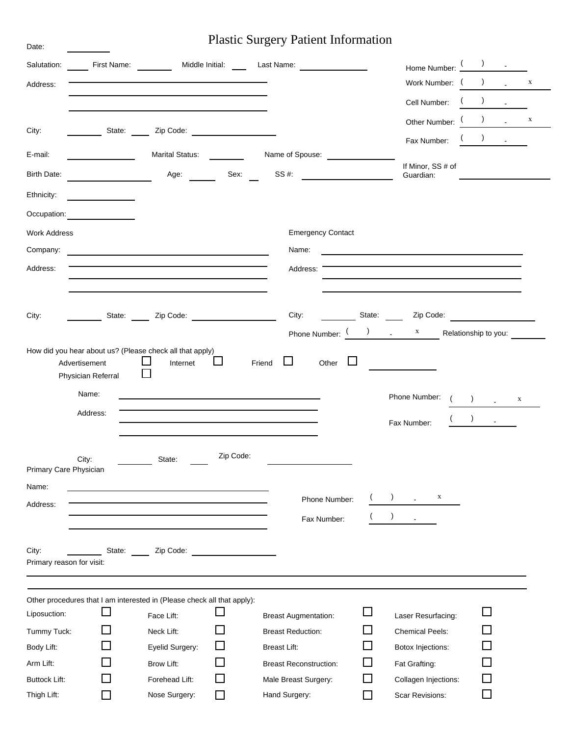# Plastic Surgery Patient Information

Date:

| Salutation:<br>Address:            |                                     | First Name: Middle Initial: First Name:                                                   |           | Last Name:                                            | Cell Number:                                           | Home Number:<br>Work Number: ( | $\lambda$                                                                  |                             | X            |
|------------------------------------|-------------------------------------|-------------------------------------------------------------------------------------------|-----------|-------------------------------------------------------|--------------------------------------------------------|--------------------------------|----------------------------------------------------------------------------|-----------------------------|--------------|
| City:                              | State:                              | Zip Code:                                                                                 |           |                                                       | Fax Number:                                            | Other Number:                  |                                                                            |                             | $\mathbf X$  |
| E-mail:                            |                                     | <b>Marital Status:</b>                                                                    |           | Name of Spouse:                                       |                                                        |                                |                                                                            |                             |              |
| <b>Birth Date:</b>                 |                                     | Age:                                                                                      | Sex:      | SS #:                                                 | If Minor, SS # of<br>Guardian:                         |                                | the control of the control of the control of the control of the control of |                             |              |
| Ethnicity:                         |                                     |                                                                                           |           |                                                       |                                                        |                                |                                                                            |                             |              |
| Occupation:                        |                                     |                                                                                           |           |                                                       |                                                        |                                |                                                                            |                             |              |
| <b>Work Address</b>                |                                     |                                                                                           |           | <b>Emergency Contact</b>                              |                                                        |                                |                                                                            |                             |              |
| Company:                           |                                     | <u> 1980 - John Stein, Amerikaansk politiker (</u>                                        |           | Name:                                                 | <u> 1989 - Andrea Andrew Maria (h. 1989).</u>          |                                |                                                                            |                             |              |
| Address:                           |                                     |                                                                                           |           | Address:                                              |                                                        |                                |                                                                            |                             |              |
|                                    |                                     |                                                                                           |           |                                                       |                                                        |                                |                                                                            |                             |              |
| City:                              | State:                              | Zip Code:                                                                                 |           | City:                                                 | State:<br>Zip Code:                                    |                                |                                                                            |                             |              |
|                                    |                                     |                                                                                           |           | Phone Number:                                         | $\begin{array}{ccc} \end{array}$ x                     |                                | Relationship to you:                                                       |                             |              |
|                                    | Advertisement<br>Physician Referral | How did you hear about us? (Please check all that apply)<br>Internet                      | ப         | $\Box$<br>Friend<br>Other                             |                                                        |                                |                                                                            |                             |              |
|                                    | Name:<br>Address:                   |                                                                                           |           |                                                       | Phone Number:                                          |                                | $\lambda$                                                                  | $\mathcal{L}^{\mathcal{L}}$ | $\mathbf{X}$ |
|                                    |                                     |                                                                                           | Zip Code: |                                                       | Fax Number:                                            |                                |                                                                            | $\mathbf{r}$                |              |
| Primary Care Physician             | City:                               | State:                                                                                    |           |                                                       |                                                        |                                |                                                                            |                             |              |
| Name:                              |                                     | the control of the control of the control of the control of the control of the control of |           |                                                       |                                                        |                                |                                                                            |                             |              |
| Address:                           |                                     |                                                                                           |           | Phone Number:<br>Fax Number:                          | $\lambda$<br>$\blacksquare$                            | X                              |                                                                            |                             |              |
| City:<br>Primary reason for visit: | State:                              | Zip Code:                                                                                 |           |                                                       |                                                        |                                |                                                                            |                             |              |
|                                    |                                     | Other procedures that I am interested in (Please check all that apply):                   |           |                                                       |                                                        |                                |                                                                            |                             |              |
| Liposuction:                       |                                     | Face Lift:                                                                                |           | <b>Breast Augmentation:</b>                           | Laser Resurfacing:                                     |                                |                                                                            |                             |              |
| Tummy Tuck:                        |                                     | Neck Lift:                                                                                |           | <b>Breast Reduction:</b>                              | $\mathcal{L}$<br><b>Chemical Peels:</b>                |                                |                                                                            |                             |              |
| Body Lift:                         |                                     | Eyelid Surgery:                                                                           |           | <b>Breast Lift:</b>                                   | Botox Injections:                                      |                                |                                                                            |                             |              |
| Arm Lift:<br><b>Buttock Lift:</b>  |                                     | Brow Lift:<br>Forehead Lift:                                                              |           | <b>Breast Reconstruction:</b><br>Male Breast Surgery: | $\mathcal{L}$<br>Fat Grafting:<br>Collagen Injections: |                                |                                                                            |                             |              |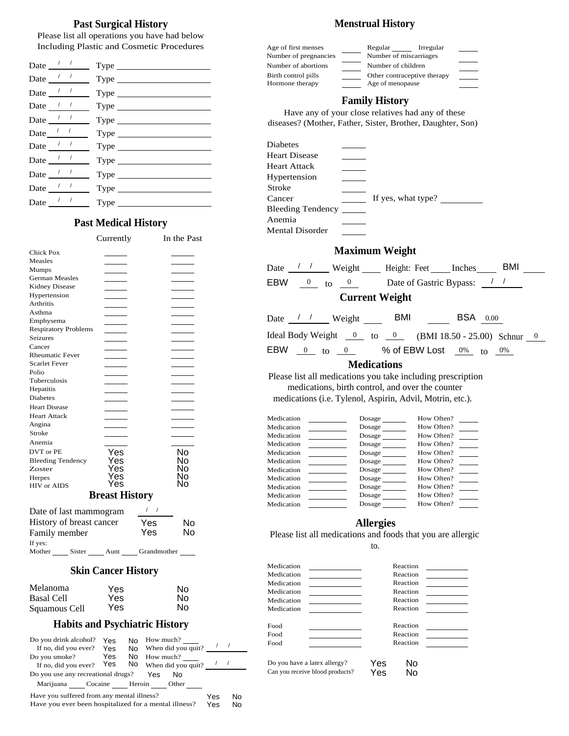## **Past Surgical History Menstrual History**

Please list all operations you have had below Including Plastic and Cosmetic Procedures

| Date $\frac{1}{1}$                    |                                            | Number of abortions<br>Number of children                                         |
|---------------------------------------|--------------------------------------------|-----------------------------------------------------------------------------------|
| Date $\frac{1}{\sqrt{1-\frac{1}{2}}}$ |                                            | Birth control pills<br>Other contraceptive<br>Hormone therapy<br>Age of menopause |
| Date $\frac{1}{\sqrt{1-\frac{1}{2}}}$ |                                            |                                                                                   |
| Date $\frac{1}{2}$                    |                                            | <b>Family History</b><br>Have any of your close relatives had a                   |
| Date $\frac{1}{\sqrt{1-\frac{1}{2}}}$ |                                            | diseases? (Mother, Father, Sister, Brother, I                                     |
|                                       |                                            |                                                                                   |
| Date $\frac{1}{2}$                    |                                            | Diabetes                                                                          |
|                                       | Date $\frac{1}{1}$ Type                    | <b>Heart Disease</b>                                                              |
|                                       |                                            | Heart Attack                                                                      |
| Date $\frac{1}{\sqrt{1-\frac{1}{2}}}$ |                                            | Hypertension<br>$\mathcal{L}^{\text{max}}_{\text{max}}$                           |
|                                       | Date $\frac{1}{\sqrt{1-\frac{1}{2}}}$ Type | Stroke                                                                            |
|                                       |                                            | If yes, what ty<br>Cancer                                                         |
|                                       |                                            | <b>Bleeding Tendency</b>                                                          |

### **Past Medical History**

| <b>Chick Pox</b>                                   |                            |                  |                                         |  |  |  |
|----------------------------------------------------|----------------------------|------------------|-----------------------------------------|--|--|--|
| Measles                                            |                            |                  |                                         |  |  |  |
| <b>Mumps</b>                                       |                            |                  |                                         |  |  |  |
| German Measles                                     |                            |                  |                                         |  |  |  |
| Kidney Disease                                     |                            |                  |                                         |  |  |  |
| Hypertension                                       |                            |                  |                                         |  |  |  |
| Arthritis                                          |                            |                  |                                         |  |  |  |
| Asthma                                             |                            |                  |                                         |  |  |  |
| Emphysema                                          |                            |                  |                                         |  |  |  |
| <b>Respiratory Problems</b>                        |                            |                  |                                         |  |  |  |
| Seizures                                           |                            |                  |                                         |  |  |  |
| Cancer                                             |                            |                  |                                         |  |  |  |
| <b>Rheumatic Fever</b>                             |                            |                  |                                         |  |  |  |
| <b>Scarlet Fever</b>                               |                            |                  |                                         |  |  |  |
| Polio                                              |                            |                  |                                         |  |  |  |
| Tuberculosis                                       |                            |                  |                                         |  |  |  |
| Hepatitis                                          |                            |                  |                                         |  |  |  |
| Diabetes                                           |                            |                  |                                         |  |  |  |
| <b>Heart Disease</b>                               |                            |                  |                                         |  |  |  |
| <b>Heart Attack</b>                                |                            |                  |                                         |  |  |  |
| Angina                                             |                            |                  |                                         |  |  |  |
| Stroke                                             |                            |                  |                                         |  |  |  |
| Anemia                                             |                            |                  |                                         |  |  |  |
| DVT or PE                                          | Yes                        |                  | No                                      |  |  |  |
| <b>Bleeding Tendency</b>                           | Yes                        |                  | No                                      |  |  |  |
| Zoster                                             | Yes                        |                  | No                                      |  |  |  |
| Herpes                                             | Yes                        |                  | Nο                                      |  |  |  |
| <b>HIV</b> or AIDS                                 | Yes                        |                  | No                                      |  |  |  |
|                                                    | <b>Breast History</b>      |                  |                                         |  |  |  |
|                                                    |                            |                  |                                         |  |  |  |
| Date of last mammogram                             |                            | $\frac{1}{2}$    |                                         |  |  |  |
| History of breast cancer                           |                            | Yes              | No                                      |  |  |  |
|                                                    |                            | Yes              | No                                      |  |  |  |
| Family member                                      |                            |                  |                                         |  |  |  |
| If yes:                                            |                            |                  |                                         |  |  |  |
| Mother Sister ______ Aunt ______ Grandmother _____ |                            |                  |                                         |  |  |  |
|                                                    |                            |                  |                                         |  |  |  |
|                                                    | <b>Skin Cancer History</b> |                  |                                         |  |  |  |
|                                                    |                            |                  |                                         |  |  |  |
| Melanoma                                           | Yes                        |                  | No                                      |  |  |  |
| Basal Cell                                         | Yes                        |                  | No                                      |  |  |  |
| Squamous Cell                                      | Yes                        |                  | Nο                                      |  |  |  |
|                                                    |                            |                  |                                         |  |  |  |
| <b>Habits and Psychiatric History</b>              |                            |                  |                                         |  |  |  |
| Do you drink alcohol?                              | Yes                        | How much?<br>No. |                                         |  |  |  |
| If no, did you ever?                               | Yes                        | No l             | When did you quit? $\frac{1}{\sqrt{2}}$ |  |  |  |
| Do you smoke?                                      | Yes                        | No.<br>How much? |                                         |  |  |  |
| If no, did you ever?                               | Yes<br>No.                 |                  | When did you quit? $\frac{1}{2}$ / /    |  |  |  |
| Do you use any recreational drugs?                 |                            | Yes              | No                                      |  |  |  |
|                                                    |                            |                  |                                         |  |  |  |

Marijuana Cocaine Heroin Other

Have you ever been hospitalized for a mental illness?

Yes No<br>Yes No Yes

Have you suffered from any mental illness?

| Including Plastic and Cosmetic Procedures        |                                                   | Age of first menses<br>Regular Irregular                                                                 |  |  |  |
|--------------------------------------------------|---------------------------------------------------|----------------------------------------------------------------------------------------------------------|--|--|--|
| Date $\frac{1}{\sqrt{1-\frac{1}{2}}}$            |                                                   | Number of pregnancies<br>Number of miscarriages<br>Number of abortions<br>Number of children             |  |  |  |
| Date $\frac{1}{\sqrt{1-\frac{1}{2}}}$            |                                                   | Other contraceptive therapy<br>Birth control pills                                                       |  |  |  |
| Date $\frac{1}{1}$                               |                                                   | Hormone therapy<br>Age of menopause                                                                      |  |  |  |
|                                                  |                                                   | <b>Family History</b>                                                                                    |  |  |  |
| Date $\frac{1}{\sqrt{1-\frac{1}{2}}}$            |                                                   | Have any of your close relatives had any of these                                                        |  |  |  |
|                                                  |                                                   | diseases? (Mother, Father, Sister, Brother, Daughter, Son)                                               |  |  |  |
| Date $\frac{1}{1}$                               | $Type \_$                                         | Diabetes                                                                                                 |  |  |  |
| Date $\frac{1}{1}$                               | $\begin{tabular}{c} Type \\ \hline \end{tabular}$ | <b>Heart Disease</b>                                                                                     |  |  |  |
| Date $\frac{1}{\sqrt{1-\frac{1}{2}}}$            |                                                   | <b>Heart Attack</b>                                                                                      |  |  |  |
|                                                  |                                                   | Hypertension                                                                                             |  |  |  |
| Date $\frac{1}{1}$ $\frac{1}{1}$                 |                                                   | Stroke                                                                                                   |  |  |  |
| Date $\frac{1}{\sqrt{1-\frac{1}{2}}}$ Type       |                                                   | If yes, what type?<br>Cancer                                                                             |  |  |  |
|                                                  |                                                   | Bleeding Tendency<br>Anemia                                                                              |  |  |  |
| <b>Past Medical History</b>                      |                                                   | <b>Mental Disorder</b>                                                                                   |  |  |  |
| Currently                                        | In the Past                                       |                                                                                                          |  |  |  |
| Chick Pox                                        |                                                   | <b>Maximum Weight</b>                                                                                    |  |  |  |
| Measles<br>Mumps                                 |                                                   | BMI<br>Date 1 Veight Height: Feet Inches                                                                 |  |  |  |
| German Measles                                   |                                                   | Date of Gastric Bypass: $\frac{1}{1}$<br><b>EBW</b>                                                      |  |  |  |
| Kidney Disease                                   |                                                   | $\frac{0}{\sqrt{1}}$ to<br>$\overline{0}$                                                                |  |  |  |
| Hypertension<br>Arthritis                        |                                                   | <b>Current Weight</b>                                                                                    |  |  |  |
| Asthma                                           |                                                   | <b>BSA</b> 0.00                                                                                          |  |  |  |
| Emphysema<br><b>Respiratory Problems</b>         |                                                   |                                                                                                          |  |  |  |
| Seizures                                         |                                                   | Ideal Body Weight $\frac{0}{\cos \theta}$ to $\frac{0}{\cos \theta}$<br>(BMI 18.50 - 25.00) Schnur 0     |  |  |  |
| Cancer<br><b>Rheumatic Fever</b>                 |                                                   | EBW $\frac{0}{\sqrt{10}}$ to $\frac{0}{\sqrt{10}}$<br>% of EBW Lost $\frac{0\%}{10}$ to $\frac{0\%}{10}$ |  |  |  |
| <b>Scarlet Fever</b>                             |                                                   | <b>Medications</b>                                                                                       |  |  |  |
| Polio<br>Tuberculosis                            |                                                   | Please list all medications you take including prescription                                              |  |  |  |
| Hepatitis                                        |                                                   | medications, birth control, and over the counter                                                         |  |  |  |
| Diabetes                                         |                                                   | medications (i.e. Tylenol, Aspirin, Advil, Motrin, etc.).                                                |  |  |  |
| <b>Heart Disease</b><br><b>Heart Attack</b>      |                                                   | How Often?                                                                                               |  |  |  |
| Angina                                           |                                                   | Medication<br>Dosage<br>Medication<br>How Often?<br>Dosage                                               |  |  |  |
| Stroke                                           |                                                   | How Often?<br>Medication<br>Dosage                                                                       |  |  |  |
| Anemia                                           |                                                   | How Often?<br>Medication                                                                                 |  |  |  |
| Yes<br>DVT or PE                                 | No                                                | How Often?<br>Medication<br>Dosage                                                                       |  |  |  |
| <b>Bleeding Tendency</b><br>Yes<br>Yes<br>Zoster | No<br>No                                          | Medication<br>How Often?<br>Dosage<br>How Often?                                                         |  |  |  |
| Yes<br>Herpes                                    | No                                                | Medication<br>Dosage<br>How Often?<br>Medication<br>Dosage                                               |  |  |  |
| Yes<br>HIV or AIDS                               | No.                                               | How Often?<br>Dosage<br>Medication                                                                       |  |  |  |
| <b>Breast History</b>                            |                                                   | How Often?<br>Medication<br>Dosage                                                                       |  |  |  |
| Date of last mammogram                           | $\prime$ $\prime$                                 | How Often?<br>Medication<br>Dosage                                                                       |  |  |  |
| History of breast cancer                         | Yes<br>No                                         | <b>Allergies</b>                                                                                         |  |  |  |
| Family member                                    | Yes<br>No                                         | Please list all medications and foods that you are allergic                                              |  |  |  |
| If yes:                                          |                                                   | to.                                                                                                      |  |  |  |
| Sister Aunt<br>Mother                            | Grandmother                                       |                                                                                                          |  |  |  |
| <b>Skin Cancer History</b>                       |                                                   | Medication<br>Reaction<br>Medication<br>Reaction                                                         |  |  |  |
|                                                  |                                                   | Medication<br>Reaction                                                                                   |  |  |  |
| Melanoma<br>Yes                                  | No.                                               | Reaction<br>Medication                                                                                   |  |  |  |
| <b>Basal Cell</b><br>Yes<br>Yes                  | No.<br>No                                         | Reaction<br>Medication                                                                                   |  |  |  |
| Squamous Cell                                    |                                                   | Medication<br>Reaction                                                                                   |  |  |  |
| <b>Habits and Psychiatric History</b>            |                                                   | Food<br>Reaction                                                                                         |  |  |  |
| Do you drink alcohol? Yes                        | $No$ How much?                                    | Reaction<br>Food<br>Reaction<br>Food                                                                     |  |  |  |
|                                                  |                                                   |                                                                                                          |  |  |  |

| Do you have a latex allergy?    | Yes | No |  |
|---------------------------------|-----|----|--|
| Can you receive blood products? | Yes | No |  |